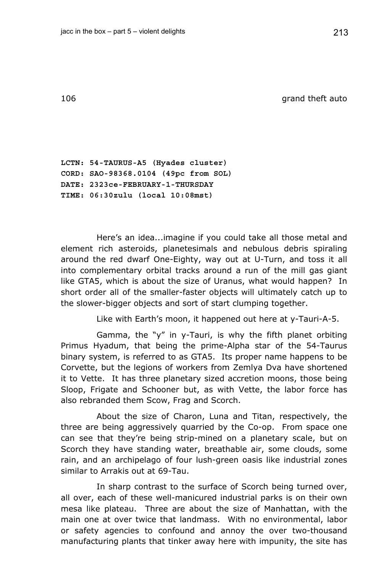106 grand theft auto

**LCTN: 54-TAURUS-A5 (Hyades cluster) CORD: SAO-98368.0104 (49pc from SOL) DATE: 2323ce-FEBRUARY-1-THURSDAY TIME: 06:30zulu (local 10:08mst)** 

Here's an idea...imagine if you could take all those metal and element rich asteroids, planetesimals and nebulous debris spiraling around the red dwarf One-Eighty, way out at U-Turn, and toss it all into complementary orbital tracks around a run of the mill gas giant like GTA5, which is about the size of Uranus, what would happen? In short order all of the smaller-faster objects will ultimately catch up to the slower-bigger objects and sort of start clumping together.

Like with Earth's moon, it happened out here at y-Tauri-A-5.

Gamma, the "y" in y-Tauri, is why the fifth planet orbiting Primus Hyadum, that being the prime-Alpha star of the 54-Taurus binary system, is referred to as GTA5. Its proper name happens to be Corvette, but the legions of workers from Zemlya Dva have shortened it to Vette. It has three planetary sized accretion moons, those being Sloop, Frigate and Schooner but, as with Vette, the labor force has also rebranded them Scow, Frag and Scorch.

About the size of Charon, Luna and Titan, respectively, the three are being aggressively quarried by the Co-op. From space one can see that they're being strip-mined on a planetary scale, but on Scorch they have standing water, breathable air, some clouds, some rain, and an archipelago of four lush-green oasis like industrial zones similar to Arrakis out at 69-Tau.

In sharp contrast to the surface of Scorch being turned over, all over, each of these well-manicured industrial parks is on their own mesa like plateau. Three are about the size of Manhattan, with the main one at over twice that landmass. With no environmental, labor or safety agencies to confound and annoy the over two-thousand manufacturing plants that tinker away here with impunity, the site has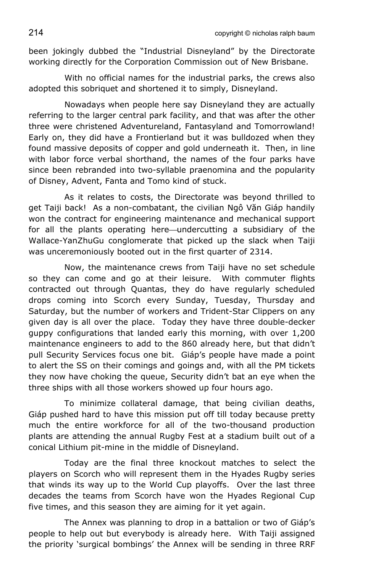been jokingly dubbed the "Industrial Disneyland" by the Directorate working directly for the Corporation Commission out of New Brisbane.

With no official names for the industrial parks, the crews also adopted this sobriquet and shortened it to simply, Disneyland.

Nowadays when people here say Disneyland they are actually referring to the larger central park facility, and that was after the other three were christened Adventureland, Fantasyland and Tomorrowland! Early on, they did have a Frontierland but it was bulldozed when they found massive deposits of copper and gold underneath it. Then, in line with labor force verbal shorthand, the names of the four parks have since been rebranded into two-syllable praenomina and the popularity of Disney, Advent, Fanta and Tomo kind of stuck.

As it relates to costs, the Directorate was beyond thrilled to get Taiji back! As a non-combatant, the civilian Ngô Văn Giáp handily won the contract for engineering maintenance and mechanical support for all the plants operating here—undercutting a subsidiary of the Wallace-YanZhuGu conglomerate that picked up the slack when Taiji was unceremoniously booted out in the first quarter of 2314.

Now, the maintenance crews from Taiji have no set schedule so they can come and go at their leisure. With commuter flights contracted out through Quantas, they do have regularly scheduled drops coming into Scorch every Sunday, Tuesday, Thursday and Saturday, but the number of workers and Trident-Star Clippers on any given day is all over the place. Today they have three double-decker guppy configurations that landed early this morning, with over 1,200 maintenance engineers to add to the 860 already here, but that didn't pull Security Services focus one bit. Giáp's people have made a point to alert the SS on their comings and goings and, with all the PM tickets they now have choking the queue, Security didn't bat an eye when the three ships with all those workers showed up four hours ago.

To minimize collateral damage, that being civilian deaths, Giáp pushed hard to have this mission put off till today because pretty much the entire workforce for all of the two-thousand production plants are attending the annual Rugby Fest at a stadium built out of a conical Lithium pit-mine in the middle of Disneyland.

Today are the final three knockout matches to select the players on Scorch who will represent them in the Hyades Rugby series that winds its way up to the World Cup playoffs. Over the last three decades the teams from Scorch have won the Hyades Regional Cup five times, and this season they are aiming for it yet again.

The Annex was planning to drop in a battalion or two of Giáp's people to help out but everybody is already here. With Taiji assigned the priority 'surgical bombings' the Annex will be sending in three RRF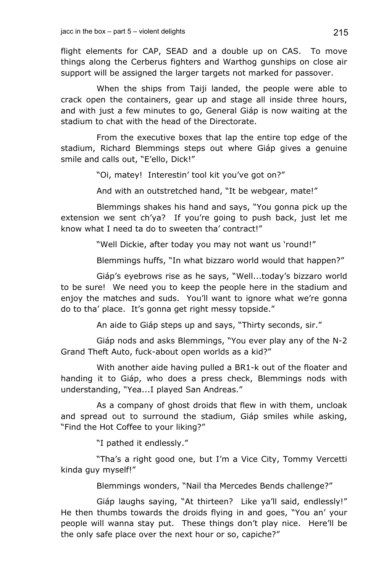flight elements for CAP, SEAD and a double up on CAS. To move things along the Cerberus fighters and Warthog gunships on close air support will be assigned the larger targets not marked for passover.

When the ships from Taiji landed, the people were able to crack open the containers, gear up and stage all inside three hours, and with just a few minutes to go, General Giáp is now waiting at the stadium to chat with the head of the Directorate.

From the executive boxes that lap the entire top edge of the stadium, Richard Blemmings steps out where Giáp gives a genuine smile and calls out, "E'ello, Dick!"

"Oi, matey! Interestin' tool kit you've got on?"

And with an outstretched hand, "It be webgear, mate!"

Blemmings shakes his hand and says, "You gonna pick up the extension we sent ch'ya? If you're going to push back, just let me know what I need ta do to sweeten tha' contract!"

"Well Dickie, after today you may not want us 'round!"

Blemmings huffs, "In what bizzaro world would that happen?"

Giáp's eyebrows rise as he says, "Well...today's bizzaro world to be sure! We need you to keep the people here in the stadium and enjoy the matches and suds. You'll want to ignore what we're gonna do to tha' place. It's gonna get right messy topside."

An aide to Giáp steps up and says, "Thirty seconds, sir."

Giáp nods and asks Blemmings, "You ever play any of the N-2 Grand Theft Auto, fuck-about open worlds as a kid?"

With another aide having pulled a BR1-k out of the floater and handing it to Giáp, who does a press check, Blemmings nods with understanding, "Yea...I played San Andreas."

As a company of ghost droids that flew in with them, uncloak and spread out to surround the stadium, Giáp smiles while asking, "Find the Hot Coffee to your liking?"

"I pathed it endlessly."

"Tha's a right good one, but I'm a Vice City, Tommy Vercetti kinda guy myself!"

Blemmings wonders, "Nail tha Mercedes Bends challenge?"

Giáp laughs saying, "At thirteen? Like ya'll said, endlessly!" He then thumbs towards the droids flying in and goes, "You an' your people will wanna stay put. These things don't play nice. Here'll be the only safe place over the next hour or so, capiche?"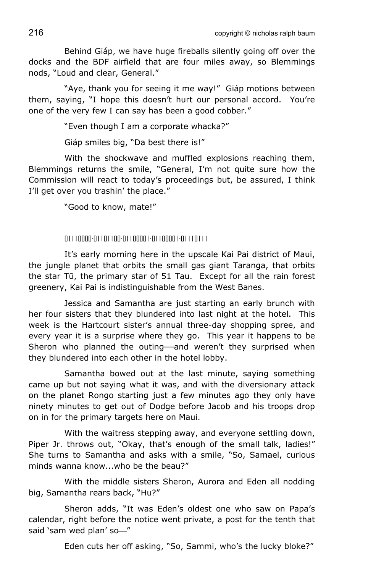Behind Giáp, we have huge fireballs silently going off over the docks and the BDF airfield that are four miles away, so Blemmings nods, "Loud and clear, General."

"Aye, thank you for seeing it me way!" Giáp motions between them, saying, "I hope this doesn't hurt our personal accord. You're one of the very few I can say has been a good cobber."

"Even though I am a corporate whacka?"

Giáp smiles big, "Da best there is!"

With the shockwave and muffled explosions reaching them, Blemmings returns the smile, "General, I'm not quite sure how the Commission will react to today's proceedings but, be assured, I think I'll get over you trashin' the place."

"Good to know, mate!"

01110000-01101100-01100001-01100001-01110111

It's early morning here in the upscale Kai Pai district of Maui, the jungle planet that orbits the small gas giant Taranga, that orbits the star Tū, the primary star of 51 Tau. Except for all the rain forest greenery, Kai Pai is indistinguishable from the West Banes.

Jessica and Samantha are just starting an early brunch with her four sisters that they blundered into last night at the hotel. This week is the Hartcourt sister's annual three-day shopping spree, and every year it is a surprise where they go. This year it happens to be Sheron who planned the outing—and weren't they surprised when they blundered into each other in the hotel lobby.

Samantha bowed out at the last minute, saying something came up but not saying what it was, and with the diversionary attack on the planet Rongo starting just a few minutes ago they only have ninety minutes to get out of Dodge before Jacob and his troops drop on in for the primary targets here on Maui.

With the waitress stepping away, and everyone settling down, Piper Jr. throws out, "Okay, that's enough of the small talk, ladies!" She turns to Samantha and asks with a smile, "So, Samael, curious minds wanna know...who be the beau?"

With the middle sisters Sheron, Aurora and Eden all nodding big, Samantha rears back, "Hu?"

Sheron adds, "It was Eden's oldest one who saw on Papa's calendar, right before the notice went private, a post for the tenth that said 'sam wed plan' so-"

Eden cuts her off asking, "So, Sammi, who's the lucky bloke?"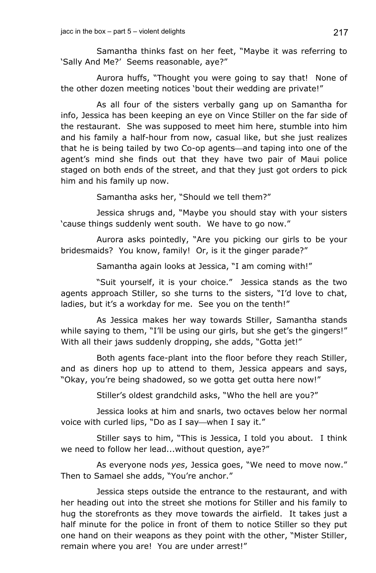Samantha thinks fast on her feet, "Maybe it was referring to 'Sally And Me?' Seems reasonable, aye?"

Aurora huffs, "Thought you were going to say that! None of the other dozen meeting notices 'bout their wedding are private!"

As all four of the sisters verbally gang up on Samantha for info, Jessica has been keeping an eye on Vince Stiller on the far side of the restaurant. She was supposed to meet him here, stumble into him and his family a half-hour from now, casual like, but she just realizes that he is being tailed by two Co-op agents—and taping into one of the agent's mind she finds out that they have two pair of Maui police staged on both ends of the street, and that they just got orders to pick him and his family up now.

Samantha asks her, "Should we tell them?"

Jessica shrugs and, "Maybe you should stay with your sisters 'cause things suddenly went south. We have to go now."

Aurora asks pointedly, "Are you picking our girls to be your bridesmaids? You know, family! Or, is it the ginger parade?"

Samantha again looks at Jessica, "I am coming with!"

"Suit yourself, it is your choice." Jessica stands as the two agents approach Stiller, so she turns to the sisters, "I'd love to chat, ladies, but it's a workday for me. See you on the tenth!"

As Jessica makes her way towards Stiller, Samantha stands while saying to them, "I'll be using our girls, but she get's the gingers!" With all their jaws suddenly dropping, she adds, "Gotta jet!"

Both agents face-plant into the floor before they reach Stiller, and as diners hop up to attend to them, Jessica appears and says, "Okay, you're being shadowed, so we gotta get outta here now!"

Stiller's oldest grandchild asks, "Who the hell are you?"

Jessica looks at him and snarls, two octaves below her normal voice with curled lips, "Do as I say—when I say it."

Stiller says to him, "This is Jessica, I told you about. I think we need to follow her lead...without question, aye?"

As everyone nods *yes*, Jessica goes, "We need to move now." Then to Samael she adds, "You're anchor."

Jessica steps outside the entrance to the restaurant, and with her heading out into the street she motions for Stiller and his family to hug the storefronts as they move towards the airfield. It takes just a half minute for the police in front of them to notice Stiller so they put one hand on their weapons as they point with the other, "Mister Stiller, remain where you are! You are under arrest!"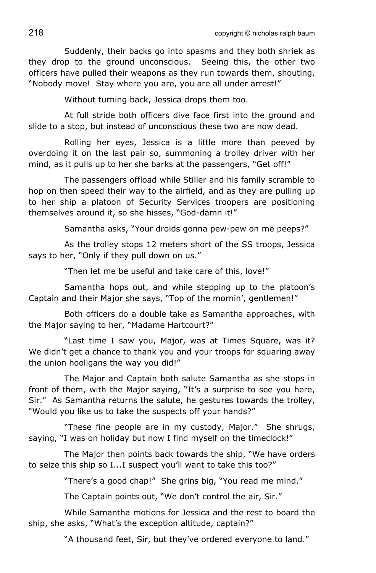Suddenly, their backs go into spasms and they both shriek as they drop to the ground unconscious. Seeing this, the other two officers have pulled their weapons as they run towards them, shouting, "Nobody move! Stay where you are, you are all under arrest!"

Without turning back, Jessica drops them too.

At full stride both officers dive face first into the ground and slide to a stop, but instead of unconscious these two are now dead.

Rolling her eyes, Jessica is a little more than peeved by overdoing it on the last pair so, summoning a trolley driver with her mind, as it pulls up to her she barks at the passengers, "Get off!"

The passengers offload while Stiller and his family scramble to hop on then speed their way to the airfield, and as they are pulling up to her ship a platoon of Security Services troopers are positioning themselves around it, so she hisses, "God-damn it!"

Samantha asks, "Your droids gonna pew-pew on me peeps?"

As the trolley stops 12 meters short of the SS troops, Jessica says to her, "Only if they pull down on us."

"Then let me be useful and take care of this, love!"

Samantha hops out, and while stepping up to the platoon's Captain and their Major she says, "Top of the mornin', gentlemen!"

Both officers do a double take as Samantha approaches, with the Major saying to her, "Madame Hartcourt?"

"Last time I saw you, Major, was at Times Square, was it? We didn't get a chance to thank you and your troops for squaring away the union hooligans the way you did!"

The Major and Captain both salute Samantha as she stops in front of them, with the Major saying, "It's a surprise to see you here, Sir." As Samantha returns the salute, he gestures towards the trolley, "Would you like us to take the suspects off your hands?"

"These fine people are in my custody, Major." She shrugs, saying, "I was on holiday but now I find myself on the timeclock!"

The Maior then points back towards the ship, "We have orders to seize this ship so I...I suspect you'll want to take this too?"

"There's a good chap!" She grins big, "You read me mind."

The Captain points out, "We don't control the air, Sir."

While Samantha motions for Jessica and the rest to board the ship, she asks, "What's the exception altitude, captain?"

"A thousand feet, Sir, but they've ordered everyone to land."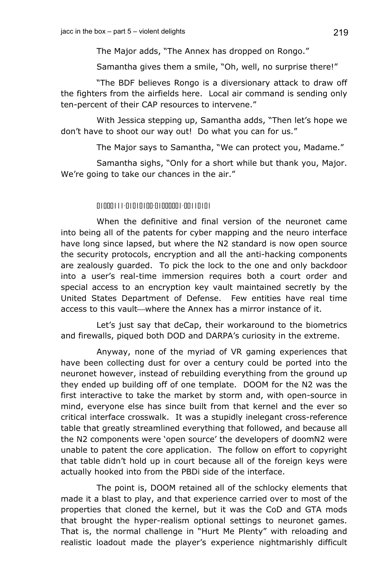The Major adds, "The Annex has dropped on Rongo."

Samantha gives them a smile, "Oh, well, no surprise there!"

"The BDF believes Rongo is a diversionary attack to draw off the fighters from the airfields here. Local air command is sending only ten-percent of their CAP resources to intervene."

With Jessica stepping up, Samantha adds, "Then let's hope we don't have to shoot our way out! Do what you can for us."

The Major says to Samantha, "We can protect you, Madame."

Samantha sighs, "Only for a short while but thank you, Major. We're going to take our chances in the air."

## 01000111-01010100-01000001-00110101

When the definitive and final version of the neuronet came into being all of the patents for cyber mapping and the neuro interface have long since lapsed, but where the N2 standard is now open source the security protocols, encryption and all the anti-hacking components are zealously guarded. To pick the lock to the one and only backdoor into a user's real-time immersion requires both a court order and special access to an encryption key vault maintained secretly by the United States Department of Defense. Few entities have real time access to this vault—where the Annex has a mirror instance of it.

Let's just say that deCap, their workaround to the biometrics and firewalls, piqued both DOD and DARPA's curiosity in the extreme.

Anyway, none of the myriad of VR gaming experiences that have been collecting dust for over a century could be ported into the neuronet however, instead of rebuilding everything from the ground up they ended up building off of one template. DOOM for the N2 was the first interactive to take the market by storm and, with open-source in mind, everyone else has since built from that kernel and the ever so critical interface crosswalk. It was a stupidly inelegant cross-reference table that greatly streamlined everything that followed, and because all the N2 components were 'open source' the developers of doomN2 were unable to patent the core application. The follow on effort to copyright that table didn't hold up in court because all of the foreign keys were actually hooked into from the PBDi side of the interface.

The point is, DOOM retained all of the schlocky elements that made it a blast to play, and that experience carried over to most of the properties that cloned the kernel, but it was the CoD and GTA mods that brought the hyper-realism optional settings to neuronet games. That is, the normal challenge in "Hurt Me Plenty" with reloading and realistic loadout made the player's experience nightmarishly difficult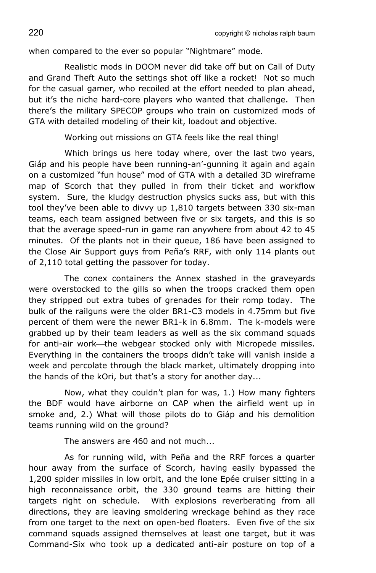when compared to the ever so popular "Nightmare" mode.

Realistic mods in DOOM never did take off but on Call of Duty and Grand Theft Auto the settings shot off like a rocket! Not so much for the casual gamer, who recoiled at the effort needed to plan ahead, but it's the niche hard-core players who wanted that challenge. Then there's the military SPECOP groups who train on customized mods of GTA with detailed modeling of their kit, loadout and objective.

Working out missions on GTA feels like the real thing!

Which brings us here today where, over the last two years, Giáp and his people have been running-an'-gunning it again and again on a customized "fun house" mod of GTA with a detailed 3D wireframe map of Scorch that they pulled in from their ticket and workflow system. Sure, the kludgy destruction physics sucks ass, but with this tool they've been able to divvy up 1,810 targets between 330 six-man teams, each team assigned between five or six targets, and this is so that the average speed-run in game ran anywhere from about 42 to 45 minutes. Of the plants not in their queue, 186 have been assigned to the Close Air Support guys from Peña's RRF, with only 114 plants out of 2,110 total getting the passover for today.

The conex containers the Annex stashed in the graveyards were overstocked to the gills so when the troops cracked them open they stripped out extra tubes of grenades for their romp today. The bulk of the railguns were the older BR1-C3 models in 4.75mm but five percent of them were the newer BR1-k in 6.8mm. The k-models were grabbed up by their team leaders as well as the six command squads for anti-air work—the webgear stocked only with Micropede missiles. Everything in the containers the troops didn't take will vanish inside a week and percolate through the black market, ultimately dropping into the hands of the kOri, but that's a story for another day...

Now, what they couldn't plan for was, 1.) How many fighters the BDF would have airborne on CAP when the airfield went up in smoke and, 2.) What will those pilots do to Giáp and his demolition teams running wild on the ground?

The answers are 460 and not much...

As for running wild, with Peña and the RRF forces a quarter hour away from the surface of Scorch, having easily bypassed the 1,200 spider missiles in low orbit, and the lone Epée cruiser sitting in a high reconnaissance orbit, the 330 ground teams are hitting their targets right on schedule. With explosions reverberating from all directions, they are leaving smoldering wreckage behind as they race from one target to the next on open-bed floaters. Even five of the six command squads assigned themselves at least one target, but it was Command-Six who took up a dedicated anti-air posture on top of a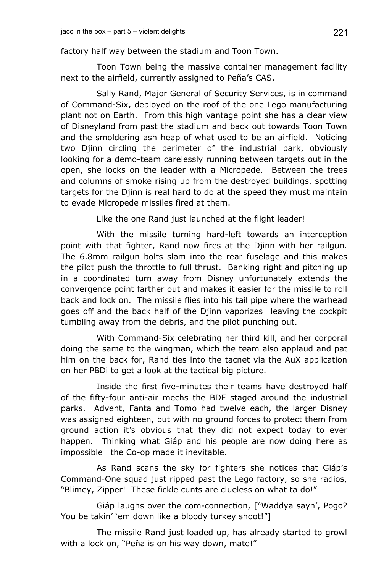factory half way between the stadium and Toon Town.

Toon Town being the massive container management facility next to the airfield, currently assigned to Peña's CAS.

Sally Rand, Major General of Security Services, is in command of Command-Six, deployed on the roof of the one Lego manufacturing plant not on Earth. From this high vantage point she has a clear view of Disneyland from past the stadium and back out towards Toon Town and the smoldering ash heap of what used to be an airfield. Noticing two Djinn circling the perimeter of the industrial park, obviously looking for a demo-team carelessly running between targets out in the open, she locks on the leader with a Micropede. Between the trees and columns of smoke rising up from the destroyed buildings, spotting targets for the Djinn is real hard to do at the speed they must maintain to evade Micropede missiles fired at them.

Like the one Rand just launched at the flight leader!

With the missile turning hard-left towards an interception point with that fighter, Rand now fires at the Djinn with her railgun. The 6.8mm railgun bolts slam into the rear fuselage and this makes the pilot push the throttle to full thrust. Banking right and pitching up in a coordinated turn away from Disney unfortunately extends the convergence point farther out and makes it easier for the missile to roll back and lock on. The missile flies into his tail pipe where the warhead goes off and the back half of the Djinn vaporizes—leaving the cockpit tumbling away from the debris, and the pilot punching out.

With Command-Six celebrating her third kill, and her corporal doing the same to the wingman, which the team also applaud and pat him on the back for, Rand ties into the tacnet via the AuX application on her PBDi to get a look at the tactical big picture.

Inside the first five-minutes their teams have destroyed half of the fifty-four anti-air mechs the BDF staged around the industrial parks. Advent, Fanta and Tomo had twelve each, the larger Disney was assigned eighteen, but with no ground forces to protect them from ground action it's obvious that they did not expect today to ever happen. Thinking what Giáp and his people are now doing here as impossible-the Co-op made it inevitable.

As Rand scans the sky for fighters she notices that Giáp's Command-One squad just ripped past the Lego factory, so she radios, "Blimey, Zipper! These fickle cunts are clueless on what ta do!"

Giáp laughs over the com-connection, ["Waddya sayn', Pogo? You be takin' 'em down like a bloody turkey shoot!"]

The missile Rand just loaded up, has already started to growl with a lock on, "Peña is on his way down, mate!"